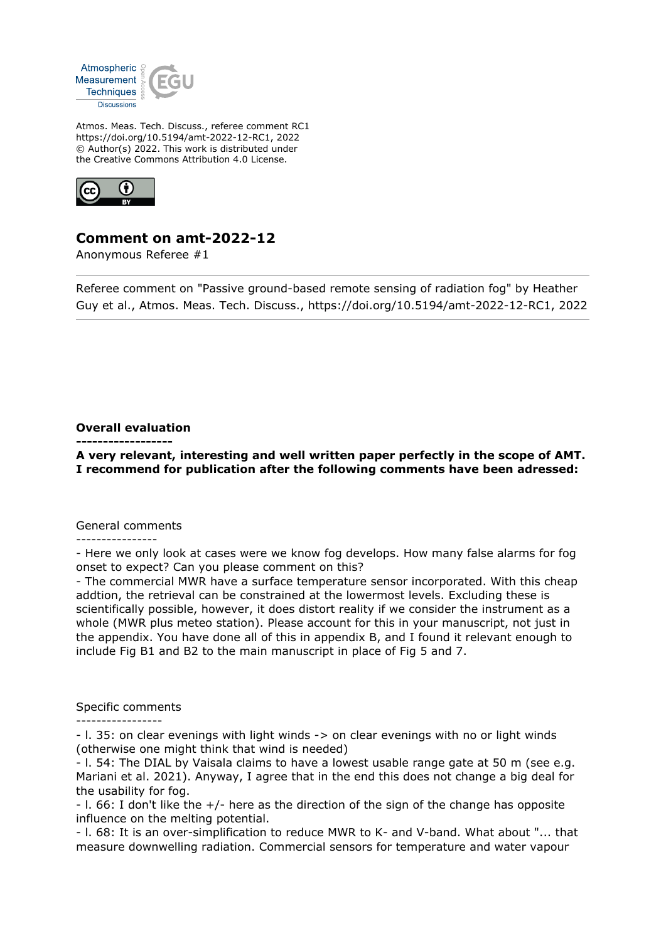

Atmos. Meas. Tech. Discuss., referee comment RC1 https://doi.org/10.5194/amt-2022-12-RC1, 2022 © Author(s) 2022. This work is distributed under the Creative Commons Attribution 4.0 License.



## **Comment on amt-2022-12**

Anonymous Referee #1

Referee comment on "Passive ground-based remote sensing of radiation fog" by Heather Guy et al., Atmos. Meas. Tech. Discuss., https://doi.org/10.5194/amt-2022-12-RC1, 2022

## **Overall evaluation**

**------------------**

**A very relevant, interesting and well written paper perfectly in the scope of AMT. I recommend for publication after the following comments have been adressed:**

## General comments

----------------

- Here we only look at cases were we know fog develops. How many false alarms for fog onset to expect? Can you please comment on this?

- The commercial MWR have a surface temperature sensor incorporated. With this cheap addtion, the retrieval can be constrained at the lowermost levels. Excluding these is scientifically possible, however, it does distort reality if we consider the instrument as a whole (MWR plus meteo station). Please account for this in your manuscript, not just in the appendix. You have done all of this in appendix B, and I found it relevant enough to include Fig B1 and B2 to the main manuscript in place of Fig 5 and 7.

## Specific comments

-----------------

- l. 35: on clear evenings with light winds -> on clear evenings with no or light winds (otherwise one might think that wind is needed)

- l. 54: The DIAL by Vaisala claims to have a lowest usable range gate at 50 m (see e.g. Mariani et al. 2021). Anyway, I agree that in the end this does not change a big deal for the usability for fog.

- l. 66: I don't like the +/- here as the direction of the sign of the change has opposite influence on the melting potential.

- l. 68: It is an over-simplification to reduce MWR to K- and V-band. What about "... that measure downwelling radiation. Commercial sensors for temperature and water vapour